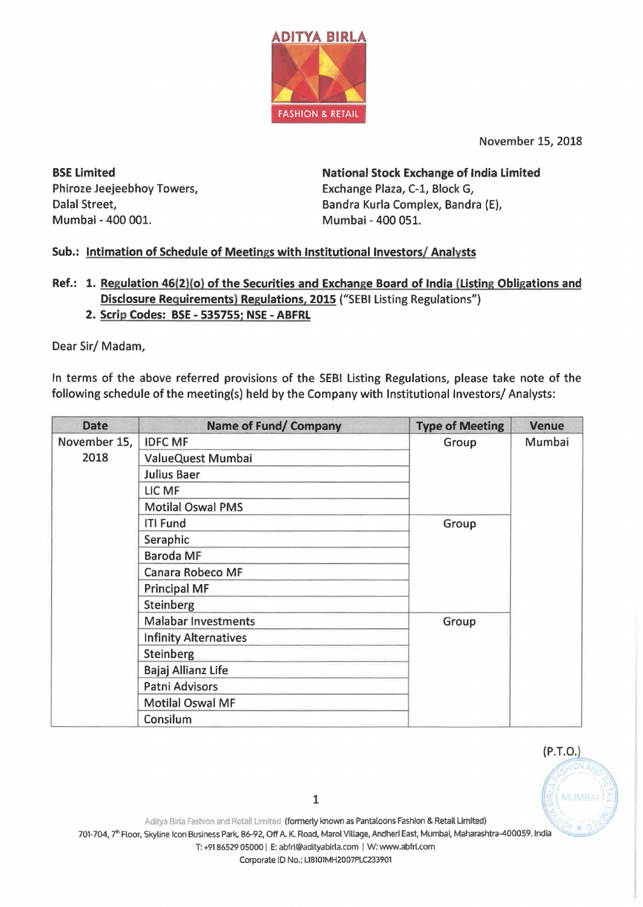

November 15, 2018

BSE Limited Phiroze Jeejeebhoy Towers, Dalal Street, Mumbai - 400 001.

National Stock Exchange of India Limited Exchange Plaza, C-1, Block G, Sandra Kurla Complex, Sandra (E), Mumbai - 400 051.

## Sub.: Intimation of Schedule of Meetings with Institutional Investors/ Analysts

- Ref.: 1. Regulation 46(2)(o) of the Securities and Exchange Board of India (Listing Obligations and Disclosure Requirements) Regulations, 2015 ("SEBI Listing Regulations")
	- 2. Scrip Codes: BSE 535755; NSE ABFRL

Dear Sir/ Madam,

In terms of the above referred provisions of the SEBI Listing Regulations, please take note of the following schedule of the meeting(s) held by the Company with Institutional Investors/ Analysts:

| <b>Date</b>          | <b>Name of Fund/ Company</b> | <b>Type of Meeting</b> | <b>Venue</b> |
|----------------------|------------------------------|------------------------|--------------|
| November 15,<br>2018 | <b>IDFC MF</b>               | Group                  | Mumbai       |
|                      | ValueQuest Mumbai            |                        |              |
|                      | Julius Baer                  |                        |              |
|                      | LIC MF                       |                        |              |
|                      | <b>Motilal Oswal PMS</b>     |                        |              |
|                      | <b>ITI Fund</b>              | Group                  |              |
|                      | Seraphic                     |                        |              |
|                      | <b>Baroda MF</b>             |                        |              |
|                      | Canara Robeco MF             |                        |              |
|                      | <b>Principal MF</b>          |                        |              |
|                      | Steinberg                    |                        |              |
|                      | <b>Malabar Investments</b>   | Group                  |              |
|                      | <b>Infinity Alternatives</b> |                        |              |
|                      | Steinberg                    |                        |              |
|                      | Bajaj Allianz Life           |                        |              |
|                      | Patni Advisors               |                        |              |
|                      | <b>Motilal Oswal MF</b>      |                        |              |
|                      | Consilum                     |                        |              |

 $(P.T.O.)$ 

Corporate ID No.: L18101MH2007PLC233901